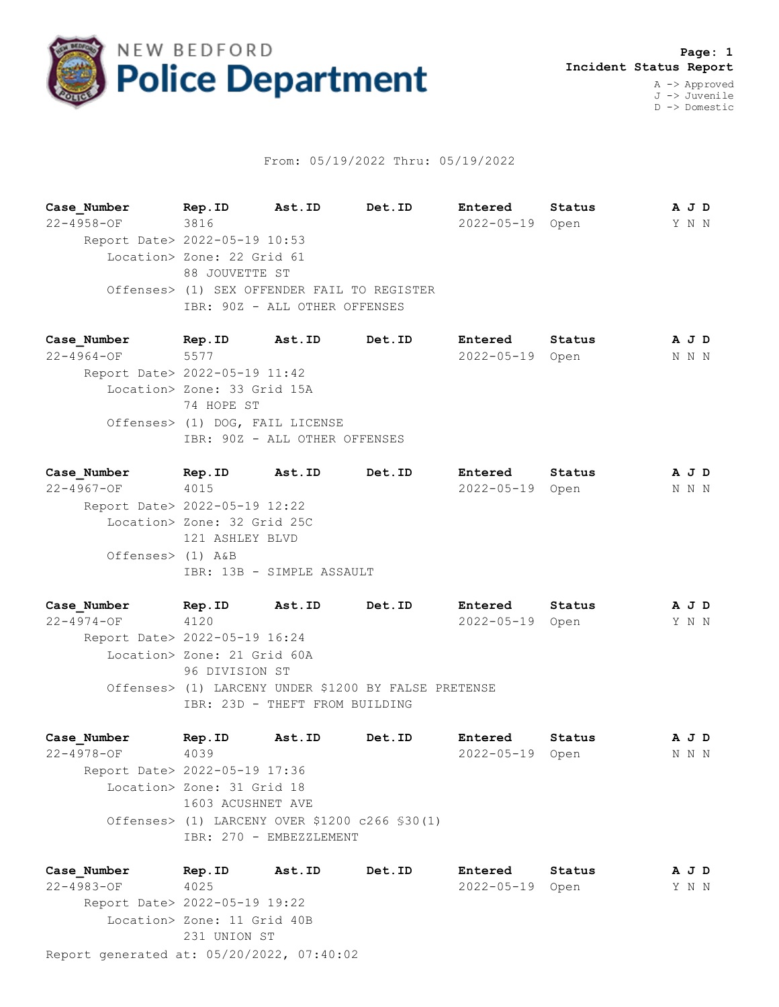

## From: 05/19/2022 Thru: 05/19/2022

**Case\_Number Rep.ID Ast.ID Det.ID Entered Status A J D** 22-4958-OF 3816 2022-05-19 Open Y N N Report Date> 2022-05-19 10:53 Location> Zone: 22 Grid 61 88 JOUVETTE ST Offenses> (1) SEX OFFENDER FAIL TO REGISTER IBR: 90Z - ALL OTHER OFFENSES

**Case\_Number Rep.ID Ast.ID Det.ID Entered Status A J D** 22-4964-OF 5577 2022-05-19 Open N N N Report Date> 2022-05-19 11:42 Location> Zone: 33 Grid 15A 74 HOPE ST Offenses> (1) DOG, FAIL LICENSE IBR: 90Z - ALL OTHER OFFENSES

**Case\_Number Rep.ID Ast.ID Det.ID Entered Status A J D** 22-4967-OF 4015 2022-05-19 Open N N N Report Date> 2022-05-19 12:22 Location> Zone: 32 Grid 25C 121 ASHLEY BLVD Offenses> (1) A&B IBR: 13B - SIMPLE ASSAULT

**Case\_Number Rep.ID Ast.ID Det.ID Entered Status A J D** 22-4974-OF 4120 2022-05-19 Open Y N N Report Date> 2022-05-19 16:24 Location> Zone: 21 Grid 60A 96 DIVISION ST Offenses> (1) LARCENY UNDER \$1200 BY FALSE PRETENSE IBR: 23D - THEFT FROM BUILDING

**Case\_Number Rep.ID Ast.ID Det.ID Entered Status A J D** 22-4978-OF 4039 2022-05-19 Open N N N Report Date> 2022-05-19 17:36 Location> Zone: 31 Grid 18 1603 ACUSHNET AVE Offenses> (1) LARCENY OVER \$1200 c266 §30(1) IBR: 270 - EMBEZZLEMENT

Report generated at: 05/20/2022, 07:40:02 **Case\_Number Rep.ID Ast.ID Det.ID Entered Status A J D** 22-4983-OF 4025 2022-05-19 Open Y N N Report Date> 2022-05-19 19:22 Location> Zone: 11 Grid 40B 231 UNION ST